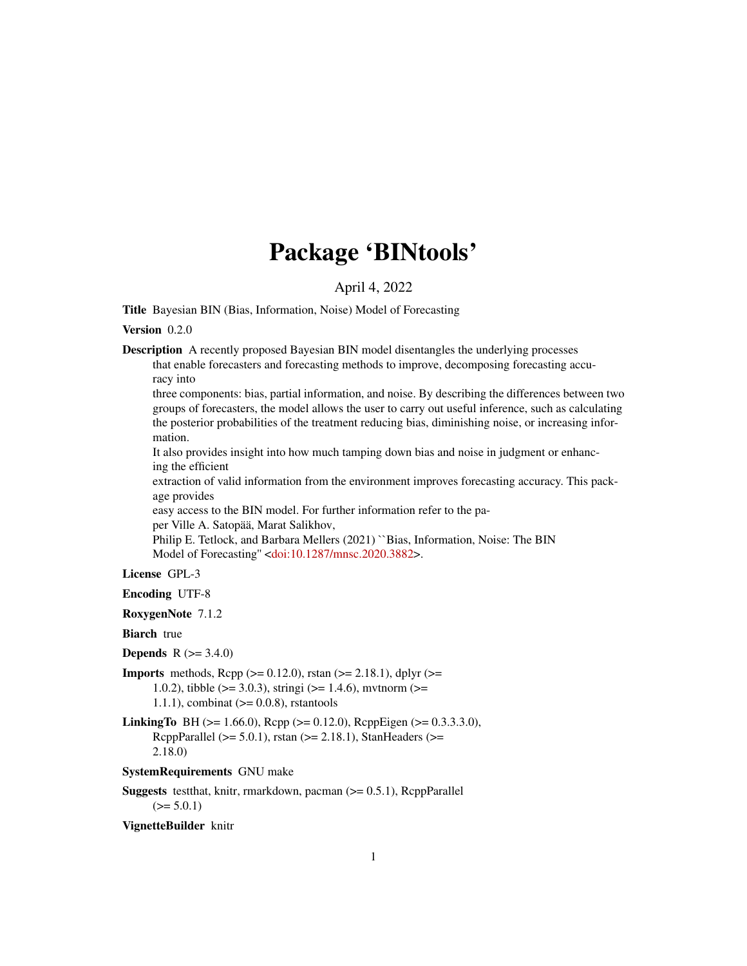## Package 'BINtools'

#### April 4, 2022

Title Bayesian BIN (Bias, Information, Noise) Model of Forecasting

#### Version 0.2.0

Description A recently proposed Bayesian BIN model disentangles the underlying processes that enable forecasters and forecasting methods to improve, decomposing forecasting accuracy into

three components: bias, partial information, and noise. By describing the differences between two groups of forecasters, the model allows the user to carry out useful inference, such as calculating the posterior probabilities of the treatment reducing bias, diminishing noise, or increasing information.

It also provides insight into how much tamping down bias and noise in judgment or enhancing the efficient

extraction of valid information from the environment improves forecasting accuracy. This package provides

easy access to the BIN model. For further information refer to the paper Ville A. Satopää, Marat Salikhov,

Philip E. Tetlock, and Barbara Mellers (2021) ``Bias, Information, Noise: The BIN Model of Forecasting'' [<doi:10.1287/mnsc.2020.3882>](https://doi.org/10.1287/mnsc.2020.3882).

#### License GPL-3

Encoding UTF-8

RoxygenNote 7.1.2

Biarch true

```
Depends R (= 3.4.0)
```
**Imports** methods,  $\text{Rcpp} (> = 0.12.0)$ , rstan ( $>= 2.18.1$ ), dplyr ( $>=$ 1.0.2), tibble ( $> = 3.0.3$ ), stringi ( $> = 1.4.6$ ), mytnorm ( $> =$  $1.1.1$ ), combinat ( $>= 0.0.8$ ), rstantools

**LinkingTo** BH ( $>= 1.66.0$ ), Rcpp ( $>= 0.12.0$ ), RcppEigen ( $>= 0.3.3.3.0$ ), RcppParallel ( $>= 5.0.1$ ), rstan ( $>= 2.18.1$ ), StanHeaders ( $>=$ 2.18.0)

#### SystemRequirements GNU make

**Suggests** testthat, knitr, rmarkdown, pacman  $(>= 0.5.1)$ , ReppParallel  $(>= 5.0.1)$ 

VignetteBuilder knitr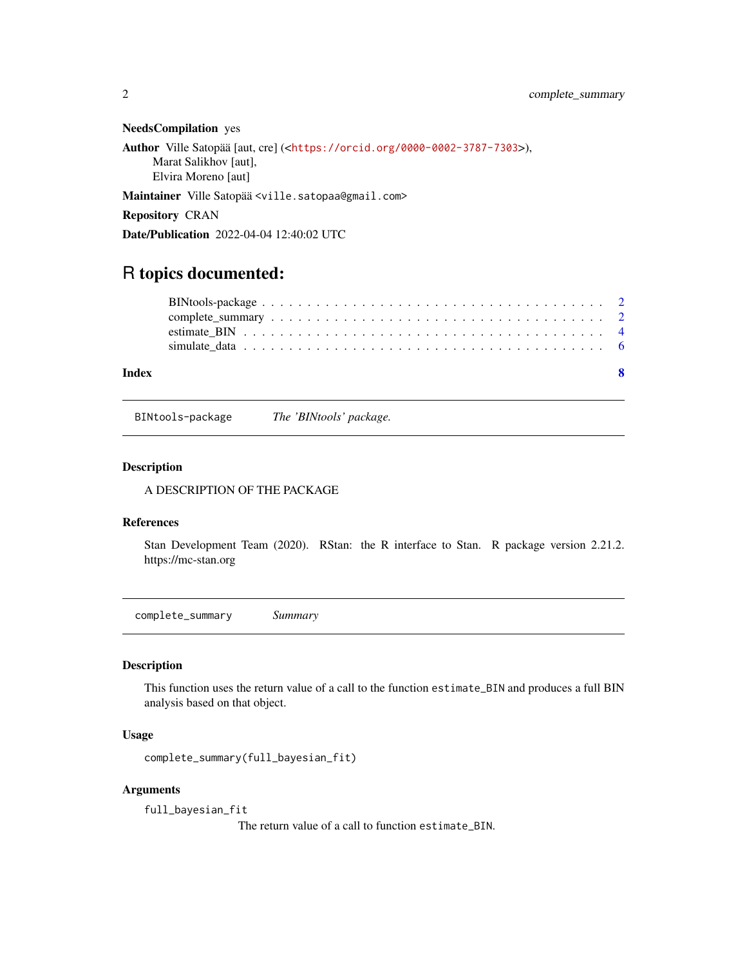#### <span id="page-1-0"></span>NeedsCompilation yes

```
Author Ville Satopää [aut, cre] (<https://orcid.org/0000-0002-3787-7303>),
     Marat Salikhov [aut],
     Elvira Moreno [aut]
```
Maintainer Ville Satopää <ville.satopaa@gmail.com>

Repository CRAN

Date/Publication 2022-04-04 12:40:02 UTC

### R topics documented:

| Index | $\mathbf{R}$ |  |
|-------|--------------|--|
|       |              |  |
|       |              |  |
|       |              |  |
|       |              |  |

BINtools-package *The 'BINtools' package.*

#### Description

A DESCRIPTION OF THE PACKAGE

#### References

Stan Development Team (2020). RStan: the R interface to Stan. R package version 2.21.2. https://mc-stan.org

<span id="page-1-1"></span>complete\_summary *Summary*

#### Description

This function uses the return value of a call to the function estimate\_BIN and produces a full BIN analysis based on that object.

#### Usage

```
complete_summary(full_bayesian_fit)
```
#### Arguments

full\_bayesian\_fit

The return value of a call to function estimate\_BIN.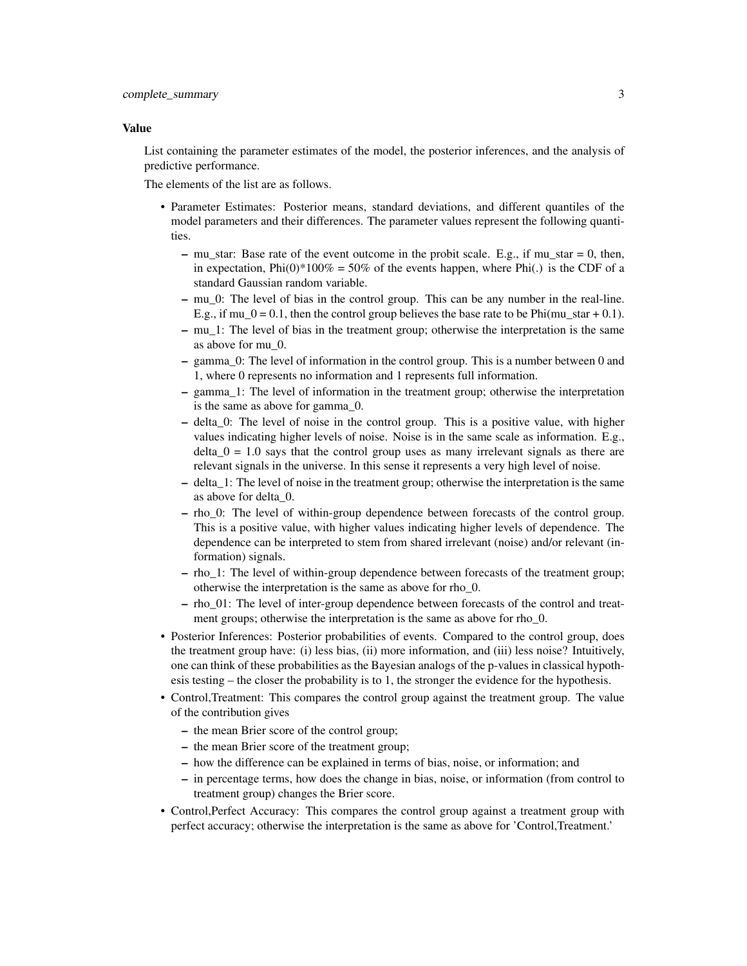#### Value

List containing the parameter estimates of the model, the posterior inferences, and the analysis of predictive performance.

The elements of the list are as follows.

- Parameter Estimates: Posterior means, standard deviations, and different quantiles of the model parameters and their differences. The parameter values represent the following quantities.
	- mu\_star: Base rate of the event outcome in the probit scale. E.g., if mu\_star = 0, then, in expectation,  $Phi(0)*100\% = 50\%$  of the events happen, where  $Phi(.)$  is the CDF of a standard Gaussian random variable.
	- mu\_0: The level of bias in the control group. This can be any number in the real-line. E.g., if mu\_0 = 0.1, then the control group believes the base rate to be Phi(mu\_star + 0.1).
	- mu\_1: The level of bias in the treatment group; otherwise the interpretation is the same as above for mu\_0.
	- gamma\_0: The level of information in the control group. This is a number between 0 and 1, where 0 represents no information and 1 represents full information.
	- gamma\_1: The level of information in the treatment group; otherwise the interpretation is the same as above for gamma\_0.
	- delta\_0: The level of noise in the control group. This is a positive value, with higher values indicating higher levels of noise. Noise is in the same scale as information. E.g.,  $delta_0 = 1.0$  says that the control group uses as many irrelevant signals as there are relevant signals in the universe. In this sense it represents a very high level of noise.
	- delta\_1: The level of noise in the treatment group; otherwise the interpretation is the same as above for delta\_0.
	- rho\_0: The level of within-group dependence between forecasts of the control group. This is a positive value, with higher values indicating higher levels of dependence. The dependence can be interpreted to stem from shared irrelevant (noise) and/or relevant (information) signals.
	- rho\_1: The level of within-group dependence between forecasts of the treatment group; otherwise the interpretation is the same as above for rho\_0.
	- rho\_01: The level of inter-group dependence between forecasts of the control and treatment groups; otherwise the interpretation is the same as above for rho\_0.
- Posterior Inferences: Posterior probabilities of events. Compared to the control group, does the treatment group have: (i) less bias, (ii) more information, and (iii) less noise? Intuitively, one can think of these probabilities as the Bayesian analogs of the p-values in classical hypothesis testing – the closer the probability is to 1, the stronger the evidence for the hypothesis.
- Control,Treatment: This compares the control group against the treatment group. The value of the contribution gives
	- the mean Brier score of the control group;
	- the mean Brier score of the treatment group;
	- how the difference can be explained in terms of bias, noise, or information; and
	- in percentage terms, how does the change in bias, noise, or information (from control to treatment group) changes the Brier score.
- Control,Perfect Accuracy: This compares the control group against a treatment group with perfect accuracy; otherwise the interpretation is the same as above for 'Control,Treatment.'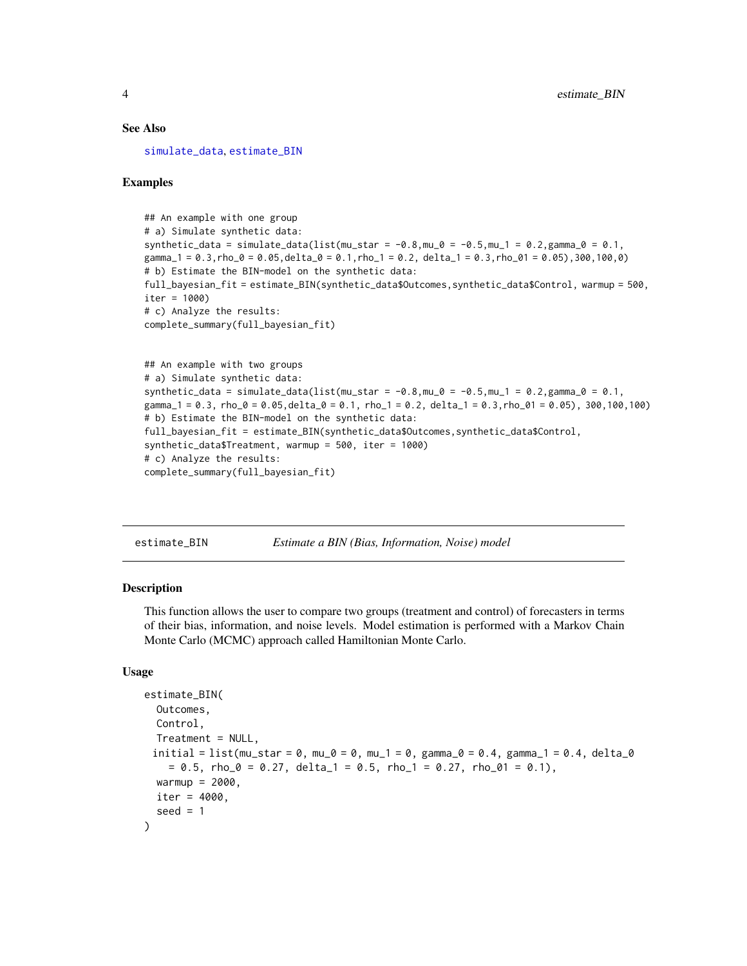#### <span id="page-3-0"></span>See Also

[simulate\\_data](#page-5-1), [estimate\\_BIN](#page-3-1)

#### Examples

```
## An example with one group
# a) Simulate synthetic data:
synthetic_data = simulate_data(list(mu_star = -0.8, mu_0 = -0.5, mu_1 = 0.2, gamma_0 = 0.1,
gamma_1 = 0.3, rho_0 = 0.05, delta_0 = 0.1, rho_1 = 0.2, delta_1 = 0.3, rho_0 = 0.05, 300, 100, 0)
# b) Estimate the BIN-model on the synthetic data:
full_bayesian_fit = estimate_BIN(synthetic_data$Outcomes,synthetic_data$Control, warmup = 500,
iter = 1000)
# c) Analyze the results:
complete_summary(full_bayesian_fit)
## An example with two groups
# a) Simulate synthetic data:
synthetic_data = simulate_data(list(mu_star = -0.8, mu_0 = -0.5, mu_1 = 0.2, gamma_0 = 0.1,
gamma_1 = 0.3, rho_0 = 0.05, delta_1 = 0.1, rho_1 = 0.2, delta_1 = 0.3, rho_0 = 1 = 0.05, 300, 100, 100)
# b) Estimate the BIN-model on the synthetic data:
full_bayesian_fit = estimate_BIN(synthetic_data$Outcomes,synthetic_data$Control,
synthetic_data$Treatment, warmup = 500, iter = 1000)
# c) Analyze the results:
complete_summary(full_bayesian_fit)
```
<span id="page-3-1"></span>estimate\_BIN *Estimate a BIN (Bias, Information, Noise) model*

#### Description

This function allows the user to compare two groups (treatment and control) of forecasters in terms of their bias, information, and noise levels. Model estimation is performed with a Markov Chain Monte Carlo (MCMC) approach called Hamiltonian Monte Carlo.

#### Usage

```
estimate_BIN(
  Outcomes,
  Control,
  Treatment = NULL,
 initial = list(mu_star = 0, mu_0 = 0, mu_1 = 0, gamma_0 = 0.4, gamma_1 = 0.4, delta_0
    = 0.5, rho_0 = 0.27, delta_1 = 0.5, rho_1 = 0.27, rho_01 = 0.1),
 warmup = 2000,
 iter = 4000,seed = 1)
```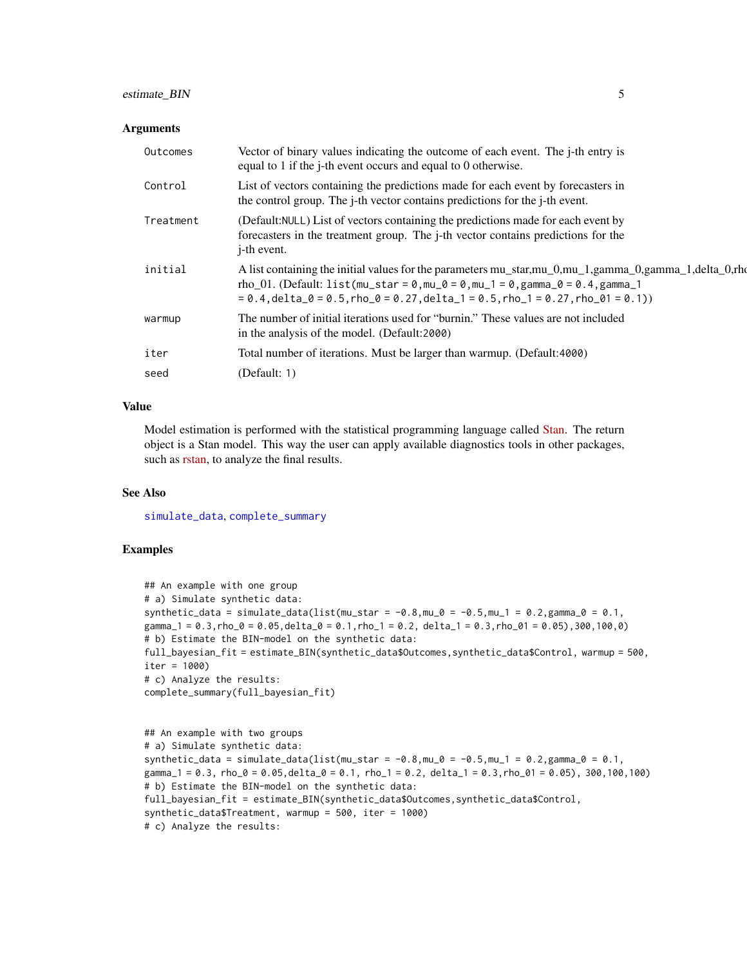#### <span id="page-4-0"></span>estimate\_BIN 5

#### **Arguments**

| Outcomes  | Vector of binary values indicating the outcome of each event. The j-th entry is<br>equal to 1 if the j-th event occurs and equal to 0 otherwise.                                                                                                                                            |
|-----------|---------------------------------------------------------------------------------------------------------------------------------------------------------------------------------------------------------------------------------------------------------------------------------------------|
| Control   | List of vectors containing the predictions made for each event by forecasters in<br>the control group. The <i>j</i> -th vector contains predictions for the <i>j</i> -th event.                                                                                                             |
| Treatment | (Default:NULL) List of vectors containing the predictions made for each event by<br>forecasters in the treatment group. The <i>j</i> -th vector contains predictions for the<br><i>i</i> -th event.                                                                                         |
| initial   | A list containing the initial values for the parameters mu_star,mu_0,mu_1,gamma_0,gamma_1,delta_0,rho<br>rho_01. (Default: list(mu_star = $0,$ mu_ $0$ = $0,$ mu_1 = $0,$ gamma_ $0$ = $0.4,$ gamma_1<br>$= 0.4$ , delta_0 = 0.5, rho_0 = 0.27, delta_1 = 0.5, rho_1 = 0.27, rho_01 = 0.1)) |
| warmup    | The number of initial iterations used for "burnin." These values are not included<br>in the analysis of the model. (Default:2000)                                                                                                                                                           |
| iter      | Total number of iterations. Must be larger than warmup. (Default: 4000)                                                                                                                                                                                                                     |
| seed      | (Default: 1)                                                                                                                                                                                                                                                                                |

#### Value

Model estimation is performed with the statistical programming language called [Stan.](https://mc-stan.org/) The return object is a Stan model. This way the user can apply available diagnostics tools in other packages, such as [rstan,](https://mc-stan.org/rstan/) to analyze the final results.

#### See Also

[simulate\\_data](#page-5-1), [complete\\_summary](#page-1-1)

#### Examples

```
## An example with one group
# a) Simulate synthetic data:
synthetic_data = simulate_data(list(mu_star = -0.8, mu_0 = -0.5, mu_1 = 0.2, gamma_0 = 0.1,
gamma_1 = 0.3, rho_0 = 0.05, delta_0 = 0.1, rho_1 = 0.2, delta_1 = 0.3, rho_0 = 0.5), 300, 100, 0)
# b) Estimate the BIN-model on the synthetic data:
full_bayesian_fit = estimate_BIN(synthetic_data$Outcomes,synthetic_data$Control, warmup = 500,
iter = 1000)
# c) Analyze the results:
complete_summary(full_bayesian_fit)
```

```
## An example with two groups
# a) Simulate synthetic data:
synthetic_data = simulate_data(list(mu_star = -0.8, mu_0 = -0.5, mu_1 = 0.2, gamma_0 = 0.1,
gamma_1 = 0.3, rho_0 = 0.05, delta_1 = 0.1, rho_1 = 0.2, delta_1 = 0.3, rho_0 = 1 = 0.05, 300, 100, 100)
# b) Estimate the BIN-model on the synthetic data:
full_bayesian_fit = estimate_BIN(synthetic_data$Outcomes,synthetic_data$Control,
synthetic_data$Treatment, warmup = 500, iter = 1000)
# c) Analyze the results:
```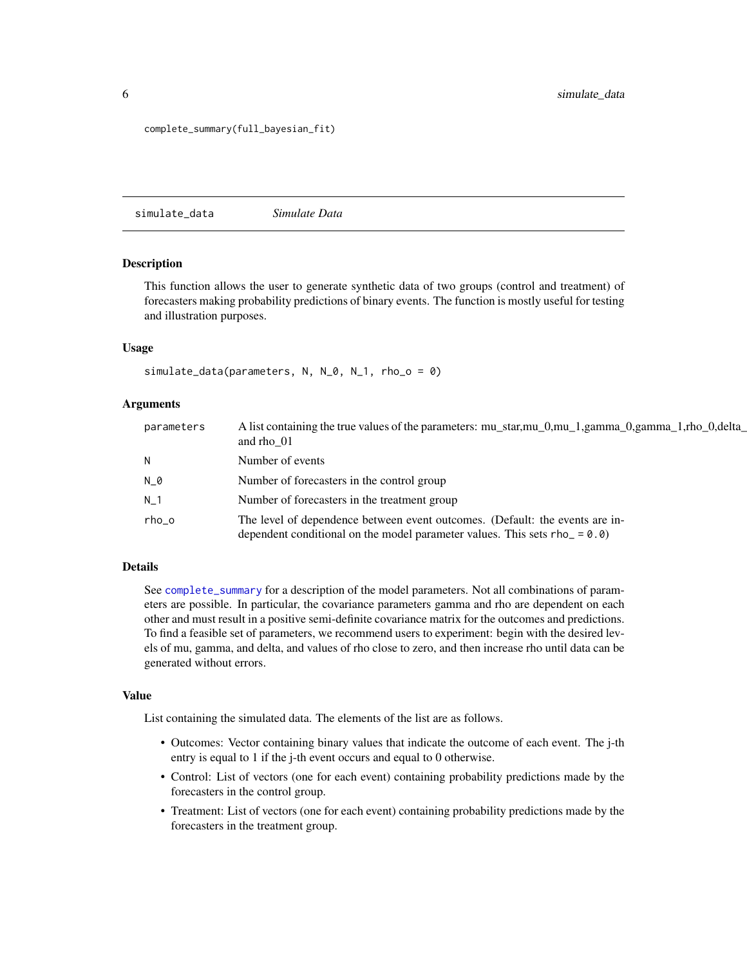#### <span id="page-5-0"></span>complete\_summary(full\_bayesian\_fit)

<span id="page-5-1"></span>simulate\_data *Simulate Data*

#### **Description**

This function allows the user to generate synthetic data of two groups (control and treatment) of forecasters making probability predictions of binary events. The function is mostly useful for testing and illustration purposes.

#### Usage

```
simulate_data(parameters, N, N_0, N_1, rho_0 = 0)
```
#### **Arguments**

| parameters     | A list containing the true values of the parameters: mu_star,mu_0,mu_1,gamma_0,gamma_1,rho_0,delta_<br>and rho 01                                           |
|----------------|-------------------------------------------------------------------------------------------------------------------------------------------------------------|
| N.             | Number of events                                                                                                                                            |
| N_0            | Number of forecasters in the control group                                                                                                                  |
| N <sub>1</sub> | Number of forecasters in the treatment group                                                                                                                |
| rho o          | The level of dependence between event outcomes. (Default: the events are in-<br>dependent conditional on the model parameter values. This sets $rho_ = 0.0$ |

#### Details

See [complete\\_summary](#page-1-1) for a description of the model parameters. Not all combinations of parameters are possible. In particular, the covariance parameters gamma and rho are dependent on each other and must result in a positive semi-definite covariance matrix for the outcomes and predictions. To find a feasible set of parameters, we recommend users to experiment: begin with the desired levels of mu, gamma, and delta, and values of rho close to zero, and then increase rho until data can be generated without errors.

#### Value

List containing the simulated data. The elements of the list are as follows.

- Outcomes: Vector containing binary values that indicate the outcome of each event. The j-th entry is equal to 1 if the j-th event occurs and equal to 0 otherwise.
- Control: List of vectors (one for each event) containing probability predictions made by the forecasters in the control group.
- Treatment: List of vectors (one for each event) containing probability predictions made by the forecasters in the treatment group.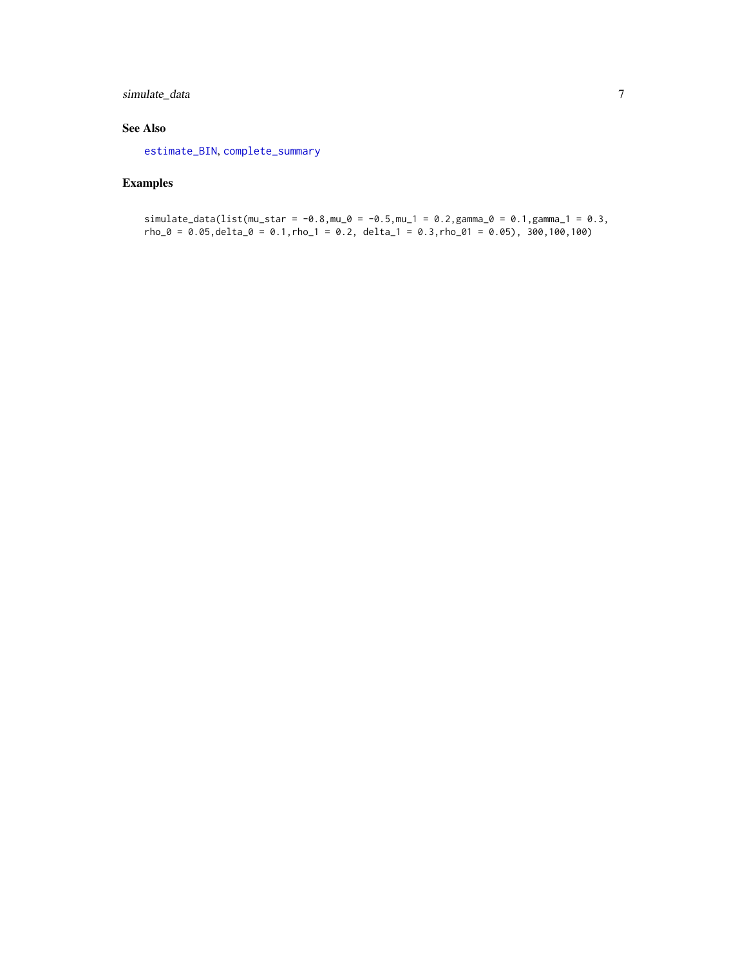#### <span id="page-6-0"></span>simulate\_data 7

#### See Also

[estimate\\_BIN](#page-3-1), [complete\\_summary](#page-1-1)

#### Examples

simulate\_data(list(mu\_star = -0.8, mu\_0 = -0.5, mu\_1 = 0.2, gamma\_0 = 0.1, gamma\_1 = 0.3,  $rho_0 = 0.05$ , delta\_0 = 0.1, rho\_1 = 0.2, delta\_1 = 0.3, rho\_01 = 0.05), 300, 100, 100)